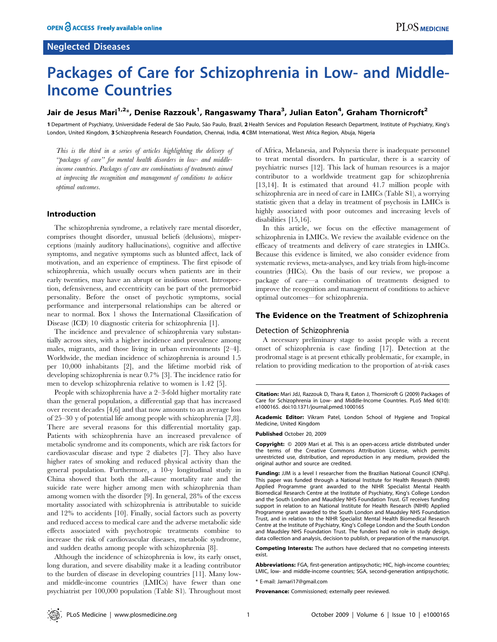# Neglected Diseases

# Packages of Care for Schizophrenia in Low- and Middle-Income Countries

# Jair de Jesus Mari<sup>1,2</sup>\*, Denise Razzouk<sup>1</sup>, Rangaswamy Thara<sup>3</sup>, Julian Eaton<sup>4</sup>, Graham Thornicroft<sup>2</sup>

1 Department of Psychiatry, Universidade Federal de São Paulo, Bazil, 2 Health Services and Population Research Department, Institute of Psychiatry, King's London, United Kingdom, 3 Schizophrenia Research Foundation, Chennai, India, 4 CBM International, West Africa Region, Abuja, Nigeria

This is the third in a series of articles highlighting the delivery of ''packages of care'' for mental health disorders in low- and middleincome countries. Packages of care are combinations of treatments aimed at improving the recognition and management of conditions to achieve optimal outcomes.

# Introduction

The schizophrenia syndrome, a relatively rare mental disorder, comprises thought disorder, unusual beliefs (delusions), misperceptions (mainly auditory hallucinations), cognitive and affective symptoms, and negative symptoms such as blunted affect, lack of motivation, and an experience of emptiness. The first episode of schizophrenia, which usually occurs when patients are in their early twenties, may have an abrupt or insidious onset. Introspection, defensiveness, and eccentricity can be part of the premorbid personality. Before the onset of psychotic symptoms, social performance and interpersonal relationships can be altered or near to normal. Box 1 shows the International Classification of Disease (ICD) 10 diagnostic criteria for schizophrenia [1].

The incidence and prevalence of schizophrenia vary substantially across sites, with a higher incidence and prevalence among males, migrants, and those living in urban environments [2–4]. Worldwide, the median incidence of schizophrenia is around 1.5 per 10,000 inhabitants [2], and the lifetime morbid risk of developing schizophrenia is near 0.7% [3]. The incidence ratio for men to develop schizophrenia relative to women is 1.42 [5].

People with schizophrenia have a 2–3-fold higher mortality rate than the general population, a differential gap that has increased over recent decades [4,6] and that now amounts to an average loss of 25–30 y of potential life among people with schizophrenia [7,8]. There are several reasons for this differential mortality gap. Patients with schizophrenia have an increased prevalence of metabolic syndrome and its components, which are risk factors for cardiovascular disease and type 2 diabetes [7]. They also have higher rates of smoking and reduced physical activity than the general population. Furthermore, a 10-y longitudinal study in China showed that both the all-cause mortality rate and the suicide rate were higher among men with schizophrenia than among women with the disorder [9]. In general, 28% of the excess mortality associated with schizophrenia is attributable to suicide and 12% to accidents [10]. Finally, social factors such as poverty and reduced access to medical care and the adverse metabolic side effects associated with psychotropic treatments combine to increase the risk of cardiovascular diseases, metabolic syndrome, and sudden deaths among people with schizophrenia [8].

Although the incidence of schizophrenia is low, its early onset, long duration, and severe disability make it a leading contributor to the burden of disease in developing countries [11]. Many lowand middle-income countries (LMICs) have fewer than one psychiatrist per 100,000 population (Table S1). Throughout most of Africa, Melanesia, and Polynesia there is inadequate personnel to treat mental disorders. In particular, there is a scarcity of psychiatric nurses [12]. This lack of human resources is a major contributor to a worldwide treatment gap for schizophrenia [13,14]. It is estimated that around 41.7 million people with schizophrenia are in need of care in LMICs (Table S1), a worrying statistic given that a delay in treatment of psychosis in LMICs is highly associated with poor outcomes and increasing levels of disabilities [15,16].

In this article, we focus on the effective management of schizophrenia in LMICs. We review the available evidence on the efficacy of treatments and delivery of care strategies in LMICs. Because this evidence is limited, we also consider evidence from systematic reviews, meta-analyses, and key trials from high-income countries (HICs). On the basis of our review, we propose a package of care—a combination of treatments designed to improve the recognition and management of conditions to achieve optimal outcomes—for schizophrenia.

#### The Evidence on the Treatment of Schizophrenia

#### Detection of Schizophrenia

A necessary preliminary stage to assist people with a recent onset of schizophrenia is case finding [17]. Detection at the prodromal stage is at present ethically problematic, for example, in relation to providing medication to the proportion of at-risk cases

Citation: Mari JdJ, Razzouk D, Thara R, Eaton J, Thornicroft G (2009) Packages of Care for Schizophrenia in Low- and Middle-Income Countries. PLoS Med 6(10): e1000165. doi:10.1371/journal.pmed.1000165

Academic Editor: Vikram Patel, London School of Hygiene and Tropical Medicine, United Kingdom

Published October 20, 2009

Copyright: @ 2009 Mari et al. This is an open-access article distributed under the terms of the Creative Commons Attribution License, which permits unrestricted use, distribution, and reproduction in any medium, provided the original author and source are credited.

Funding: JJM is a level I researcher from the Brazilian National Council (CNPq). This paper was funded through a National Institute for Health Research (NIHR) Applied Programme grant awarded to the NIHR Specialist Mental Health Biomedical Research Centre at the Institute of Psychiatry, King's College London and the South London and Maudsley NHS Foundation Trust. GT receives funding support in relation to an National Institute for Health Research (NIHR) Applied Programme grant awarded to the South London and Maudsley NHS Foundation Trust, and in relation to the NIHR Specialist Mental Health Biomedical Research Centre at the Institute of Psychiatry, King's College London and the South London and Maudsley NHS Foundation Trust. The funders had no role in study design, data collection and analysis, decision to publish, or preparation of the manuscript.

Competing Interests: The authors have declared that no competing interests exist.

Abbreviations: FGA, first-generation antipsychotic; HIC, high-income countries; LMIC, low- and middle-income countries; SGA, second-generation antipsychotic.

\* E-mail: Jamari17@gmail.com

Provenance: Commissioned; externally peer reviewed.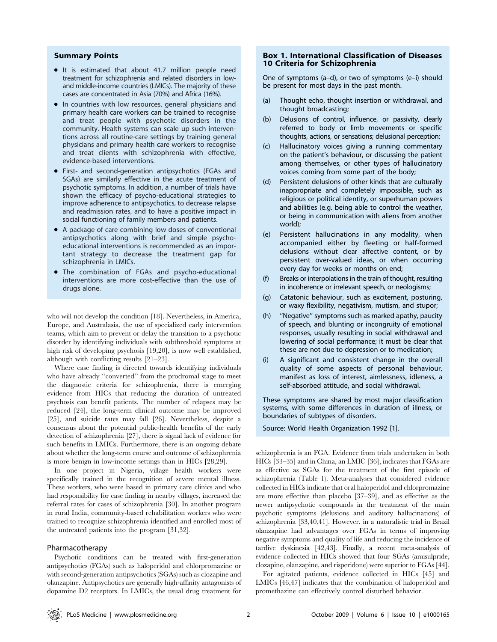# Summary Points

- It is estimated that about 41.7 million people need treatment for schizophrenia and related disorders in lowand middle-income countries (LMICs). The majority of these cases are concentrated in Asia (70%) and Africa (16%).
- In countries with low resources, general physicians and primary health care workers can be trained to recognise and treat people with psychotic disorders in the community. Health systems can scale up such interventions across all routine-care settings by training general physicians and primary health care workers to recognise and treat clients with schizophrenia with effective, evidence-based interventions.
- First- and second-generation antipsychotics (FGAs and SGAs) are similarly effective in the acute treatment of psychotic symptoms. In addition, a number of trials have shown the efficacy of psycho-educational strategies to improve adherence to antipsychotics, to decrease relapse and readmission rates, and to have a positive impact in social functioning of family members and patients.
- $\bullet$  A package of care combining low doses of conventional antipsychotics along with brief and simple psychoeducational interventions is recommended as an important strategy to decrease the treatment gap for schizophrenia in LMICs.
- The combination of FGAs and psycho-educational interventions are more cost-effective than the use of drugs alone.

who will not develop the condition [18]. Nevertheless, in America, Europe, and Australasia, the use of specialized early intervention teams, which aim to prevent or delay the transition to a psychotic disorder by identifying individuals with subthreshold symptoms at high risk of developing psychosis [19,20], is now well established, although with conflicting results [21–23].

Where case finding is directed towards identifying individuals who have already ''converted'' from the prodromal stage to meet the diagnostic criteria for schizophrenia, there is emerging evidence from HICs that reducing the duration of untreated psychosis can benefit patients. The number of relapses may be reduced [24], the long-term clinical outcome may be improved [25], and suicide rates may fall [26]. Nevertheless, despite a consensus about the potential public-health benefits of the early detection of schizophrenia [27], there is signal lack of evidence for such benefits in LMICs. Furthermore, there is an ongoing debate about whether the long-term course and outcome of schizophrenia is more benign in low-income settings than in HICs [28,29].

In one project in Nigeria, village health workers were specifically trained in the recognition of severe mental illness. These workers, who were based in primary care clinics and who had responsibility for case finding in nearby villages, increased the referral rates for cases of schizophrenia [30]. In another program in rural India, community-based rehabilitation workers who were trained to recognize schizophrenia identified and enrolled most of the untreated patients into the program [31,32].

#### Pharmacotherapy

Psychotic conditions can be treated with first-generation antipsychotics (FGAs) such as haloperidol and chlorpromazine or with second-generation antipsychotics (SGAs) such as clozapine and olanzapine. Antipsychotics are generally high-affinity antagonists of dopamine D2 receptors. In LMICs, the usual drug treatment for

# Box 1. International Classification of Diseases 10 Criteria for Schizophrenia

One of symptoms (a–d), or two of symptoms (e–i) should be present for most days in the past month.

- (a) Thought echo, thought insertion or withdrawal, and thought broadcasting;
- (b) Delusions of control, influence, or passivity, clearly referred to body or limb movements or specific thoughts, actions, or sensations; delusional perception;
- (c) Hallucinatory voices giving a running commentary on the patient's behaviour, or discussing the patient among themselves, or other types of hallucinatory voices coming from some part of the body;
- (d) Persistent delusions of other kinds that are culturally inappropriate and completely impossible, such as religious or political identity, or superhuman powers and abilities (e.g. being able to control the weather, or being in communication with aliens from another world);
- (e) Persistent hallucinations in any modality, when accompanied either by fleeting or half-formed delusions without clear affective content, or by persistent over-valued ideas, or when occurring every day for weeks or months on end;
- Breaks or interpolations in the train of thought, resulting in incoherence or irrelevant speech, or neologisms;
- (g) Catatonic behaviour, such as excitement, posturing, or waxy flexibility, negativism, mutism, and stupor;
- (h) ''Negative'' symptoms such as marked apathy, paucity of speech, and blunting or incongruity of emotional responses, usually resulting in social withdrawal and lowering of social performance; it must be clear that these are not due to depression or to medication;
- A significant and consistent change in the overall quality of some aspects of personal behaviour, manifest as loss of interest, aimlessness, idleness, a self-absorbed attitude, and social withdrawal.

These symptoms are shared by most major classification systems, with some differences in duration of illness, or boundaries of subtypes of disorders.

Source: World Health Organization 1992 [1].

schizophrenia is an FGA. Evidence from trials undertaken in both HICs [33–35] and in China, an LMIC [36], indicates that FGAs are as effective as SGAs for the treatment of the first episode of schizophrenia (Table 1). Meta-analyses that considered evidence collected in HICs indicate that oral haloperidol and chlorpromazine are more effective than placebo [37–39], and as effective as the newer antipsychotic compounds in the treatment of the main psychotic symptoms (delusions and auditory hallucinations) of schizophrenia [33,40,41]. However, in a naturalistic trial in Brazil olanzapine had advantages over FGAs in terms of improving negative symptoms and quality of life and reducing the incidence of tardive dyskinesia [42,43]. Finally, a recent meta-analysis of evidence collected in HICs showed that four SGAs (amisulpride, clozapine, olanzapine, and risperidone) were superior to FGAs [44].

For agitated patients, evidence collected in HICs [45] and LMICs [46,47] indicates that the combination of haloperidol and promethazine can effectively control disturbed behavior.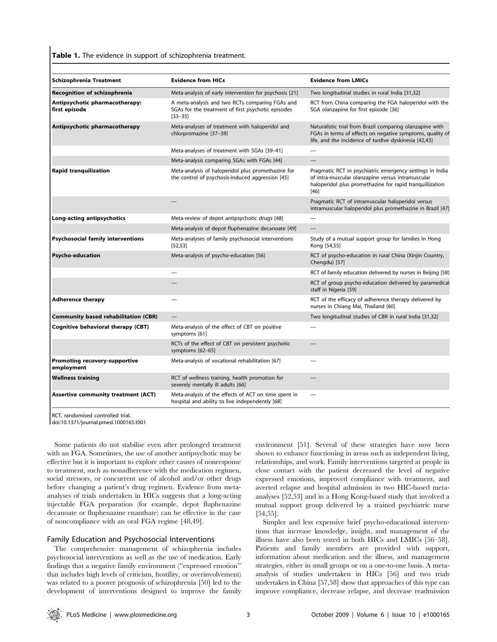Table 1. The evidence in support of schizophrenia treatment.

| Schizophrenia Treatment                            | <b>Evidence from HICs</b>                                                                                            | <b>Evidence from LMICs</b>                                                                                                                                                          |
|----------------------------------------------------|----------------------------------------------------------------------------------------------------------------------|-------------------------------------------------------------------------------------------------------------------------------------------------------------------------------------|
| Recognition of schizophrenia                       | Meta-analysis of early intervention for psychosis [21]                                                               | Two longitudinal studies in rural India [31,32]                                                                                                                                     |
| Antipsychotic pharmacotherapy:<br>first episode    | A meta-analysis and two RCTs comparing FGAs and<br>SGAs for the treatment of first psychotic episodes<br>$[33 - 35]$ | RCT from China comparing the FGA haloperidol with the<br>SGA olanzapine for first episode [36]                                                                                      |
| Antipsychotic pharmacotherapy                      | Meta-analyses of treatment with haloperidol and<br>chlorpromazine [37-39]                                            | Naturalistic trial from Brazil comparing olanzapine with<br>FGAs in terms of effects on negative symptoms, quality of<br>life, and the incidence of tardive dyskinesia [42,43]      |
|                                                    | Meta-analyses of treatment with SGAs [39-41]                                                                         |                                                                                                                                                                                     |
|                                                    | Meta-analysis comparing SGAs with FGAs [44]                                                                          |                                                                                                                                                                                     |
| <b>Rapid tranquilization</b>                       | Meta-analysis of haloperidol plus promethazine for<br>the control of psychosis-induced aggression [45]               | Pragmatic RCT in psychiatric emergency settings in India<br>of intra-muscular olanzapine versus intramuscular<br>haloperidol plus promethazine for rapid tranquillization<br>$[46]$ |
|                                                    |                                                                                                                      | Pragmatic RCT of intramuscular haloperidol versus<br>intramuscular haloperidol plus promethazine in Brazil [47]                                                                     |
| Long-acting antipsychotics                         | Meta-review of depot antipsychotic drugs [48]                                                                        |                                                                                                                                                                                     |
|                                                    | Meta-analysis of depot fluphenazine decanoate [49]                                                                   |                                                                                                                                                                                     |
| <b>Psychosocial family interventions</b>           | Meta-analyses of family psychosocial interventions<br>[52.53]                                                        | Study of a mutual support group for families in Hong<br>Kong [54,55]                                                                                                                |
| <b>Psycho-education</b>                            | Meta-analysis of psycho-education [56]                                                                               | RCT of psycho-education in rural China (Xinjin Country,<br>Chengdu) [57]                                                                                                            |
|                                                    |                                                                                                                      | RCT of family education delivered by nurses in Beijing [58]                                                                                                                         |
|                                                    |                                                                                                                      | RCT of group psycho-education delivered by paramedical<br>staff in Nigeria [59]                                                                                                     |
| <b>Adherence therapy</b>                           |                                                                                                                      | RCT of the efficacy of adherence therapy delivered by<br>nurses in Chiang Mai, Thailand [60]                                                                                        |
| <b>Community based rehabilitation (CBR)</b>        |                                                                                                                      | Two longitudinal studies of CBR in rural India [31,32]                                                                                                                              |
| Cognitive behavioral therapy (CBT)                 | Meta-analysis of the effect of CBT on positive<br>symptoms [61]                                                      |                                                                                                                                                                                     |
|                                                    | RCTs of the effect of CBT on persistent psychotic<br>symptoms [62-65]                                                |                                                                                                                                                                                     |
| <b>Promoting recovery-supportive</b><br>employment | Meta-analysis of vocational rehabilitation [67]                                                                      |                                                                                                                                                                                     |
| <b>Wellness training</b>                           | RCT of wellness training, health promotion for<br>severely mentally ill adults [66]                                  |                                                                                                                                                                                     |
| <b>Assertive community treatment (ACT)</b>         | Meta-analysis of the effects of ACT on time spent in<br>hospital and ability to live independently [68]              |                                                                                                                                                                                     |

RCT, randomised controlled trial.

doi:10.1371/journal.pmed.1000165.t001

Some patients do not stabilise even after prolonged treatment with an FGA. Sometimes, the use of another antipsychotic may be effective but it is important to explore other causes of nonresponse to treatment, such as nonadherence with the medication regimen, social stressors, or concurrent use of alcohol and/or other drugs before changing a patient's drug regimen. Evidence from metaanalyses of trials undertaken in HICs suggests that a long-acting injectable FGA preparation (for example, depot fluphenazine decanoate or fluphenazine enanthate) can be effective in the case of noncompliance with an oral FGA regime [48,49].

# Family Education and Psychosocial Interventions

The comprehensive management of schizophrenia includes psychosocial interventions as well as the use of medication. Early findings that a negative family environment (''expressed emotion'' that includes high levels of criticism, hostility, or overinvolvement) was related to a poorer prognosis of schizophrenia [50] led to the development of interventions designed to improve the family

environment [51]. Several of these strategies have now been shown to enhance functioning in areas such as independent living, relationships, and work. Family interventions targeted at people in close contact with the patient decreased the level of negative expressed emotions, improved compliance with treatment, and averted relapse and hospital admission in two HIC-based metaanalyses [52,53] and in a Hong Kong-based study that involved a mutual support group delivered by a trained psychiatric nurse [54,55].

Simpler and less expensive brief psycho-educational interventions that increase knowledge, insight, and management of the illness have also been tested in both HICs and LMICs [56–58]. Patients and family members are provided with support, information about medication and the illness, and management strategies, either in small groups or on a one-to-one basis. A metaanalysis of studies undertaken in HICs [56] and two trials undertaken in China [57,58] show that approaches of this type can improve compliance, decrease relapse, and decrease readmission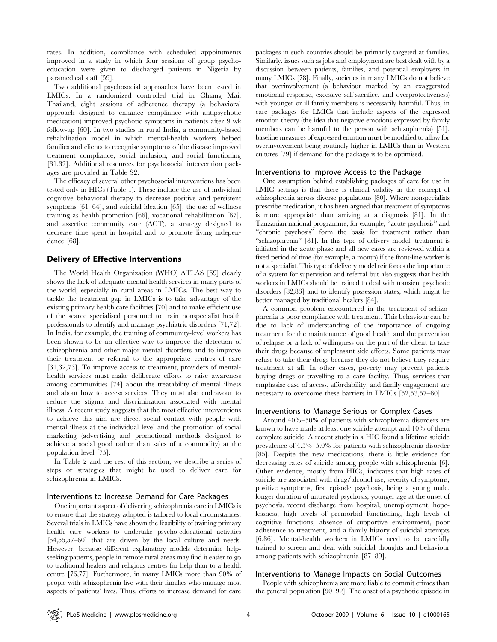rates. In addition, compliance with scheduled appointments improved in a study in which four sessions of group psychoeducation were given to discharged patients in Nigeria by paramedical staff [59].

Two additional psychosocial approaches have been tested in LMICs. In a randomized controlled trial in Chiang Mai, Thailand, eight sessions of adherence therapy (a behavioral approach designed to enhance compliance with antipsychotic medication) improved psychotic symptoms in patients after 9 wk follow-up [60]. In two studies in rural India, a community-based rehabilitation model in which mental-health workers helped families and clients to recognise symptoms of the disease improved treatment compliance, social inclusion, and social functioning [31,32]. Additional resources for psychosocial intervention packages are provided in Table S2.

The efficacy of several other psychosocial interventions has been tested only in HICs (Table 1). These include the use of individual cognitive behavioral therapy to decrease positive and persistent symptoms [61–64], and suicidal ideation [65], the use of wellness training as health promotion [66], vocational rehabilitation [67], and assertive community care (ACT), a strategy designed to decrease time spent in hospital and to promote living independence [68].

#### Delivery of Effective Interventions

The World Health Organization (WHO) ATLAS [69] clearly shows the lack of adequate mental health services in many parts of the world, especially in rural areas in LMICs. The best way to tackle the treatment gap in LMICs is to take advantage of the existing primary health care facilities [70] and to make efficient use of the scarce specialised personnel to train nonspecialist health professionals to identify and manage psychiatric disorders [71,72]. In India, for example, the training of community-level workers has been shown to be an effective way to improve the detection of schizophrenia and other major mental disorders and to improve their treatment or referral to the appropriate centres of care [31,32,73]. To improve access to treatment, providers of mentalhealth services must make deliberate efforts to raise awareness among communities [74] about the treatability of mental illness and about how to access services. They must also endeavour to reduce the stigma and discrimination associated with mental illness. A recent study suggests that the most effective interventions to achieve this aim are direct social contact with people with mental illness at the individual level and the promotion of social marketing (advertising and promotional methods designed to achieve a social good rather than sales of a commodity) at the population level [75].

In Table 2 and the rest of this section, we describe a series of steps or strategies that might be used to deliver care for schizophrenia in LMICs.

#### Interventions to Increase Demand for Care Packages

One important aspect of delivering schizophrenia care in LMICs is to ensure that the strategy adopted is tailored to local circumstances. Several trials in LMICs have shown the feasibility of training primary health care workers to undertake psycho-educational activities [54,55,57–60] that are driven by the local culture and needs. However, because different explanatory models determine helpseeking patterns, people in remote rural areas may find it easier to go to traditional healers and religious centres for help than to a health centre [76,77]. Furthermore, in many LMICs more than 90% of people with schizophrenia live with their families who manage most aspects of patients' lives. Thus, efforts to increase demand for care

packages in such countries should be primarily targeted at families. Similarly, issues such as jobs and employment are best dealt with by a discussion between patients, families, and potential employers in many LMICs [78]. Finally, societies in many LMICs do not believe that overinvolvement (a behaviour marked by an exaggerated emotional response, excessive self-sacrifice, and overprotectiveness) with younger or ill family members is necessarily harmful. Thus, in care packages for LMICs that include aspects of the expressed emotion theory (the idea that negative emotions expressed by family members can be harmful to the person with schizophrenia) [51], baseline measures of expressed emotion must be modified to allow for overinvolvement being routinely higher in LMICs than in Western cultures [79] if demand for the package is to be optimised.

#### Interventions to Improve Access to the Package

One assumption behind establishing packages of care for use in LMIC settings is that there is clinical validity in the concept of schizophrenia across diverse populations [80]. Where nonspecialists prescribe medication, it has been argued that treatment of symptoms is more appropriate than arriving at a diagnosis [81]. In the Tanzanian national programme, for example, ''acute psychosis'' and ''chronic psychosis'' form the basis for treatment rather than ''schizophrenia'' [81]. In this type of delivery model, treatment is initiated in the acute phase and all new cases are reviewed within a fixed period of time (for example, a month) if the front-line worker is not a specialist. This type of delivery model reinforces the importance of a system for supervision and referral but also suggests that health workers in LMICs should be trained to deal with transient psychotic disorders [82,83] and to identify possession states, which might be better managed by traditional healers [84].

A common problem encountered in the treatment of schizophrenia is poor compliance with treatment. This behaviour can be due to lack of understanding of the importance of ongoing treatment for the maintenance of good health and the prevention of relapse or a lack of willingness on the part of the client to take their drugs because of unpleasant side effects. Some patients may refuse to take their drugs because they do not believe they require treatment at all. In other cases, poverty may prevent patients buying drugs or travelling to a care facility. Thus, services that emphasise ease of access, affordability, and family engagement are necessary to overcome these barriers in LMICs [52,53,57–60].

#### Interventions to Manage Serious or Complex Cases

Around 40%–50% of patients with schizophrenia disorders are known to have made at least one suicide attempt and 10% of them complete suicide. A recent study in a HIC found a lifetime suicide prevalence of 4.5%–5.0% for patients with schizophrenia disorder [85]. Despite the new medications, there is little evidence for decreasing rates of suicide among people with schizophrenia [6]. Other evidence, mostly from HICs, indicates that high rates of suicide are associated with drug/alcohol use, severity of symptoms, positive symptoms, first episode psychosis, being a young male, longer duration of untreated psychosis, younger age at the onset of psychosis, recent discharge from hospital, unemployment, hopelessness, high levels of premorbid functioning, high levels of cognitive functions, absence of supportive environment, poor adherence to treatment, and a family history of suicidal attempts [6,86]. Mental-health workers in LMICs need to be carefully trained to screen and deal with suicidal thoughts and behaviour among patients with schizophrenia [87–89].

#### Interventions to Manage Impacts on Social Outcomes

People with schizophrenia are more liable to commit crimes than the general population [90–92]. The onset of a psychotic episode in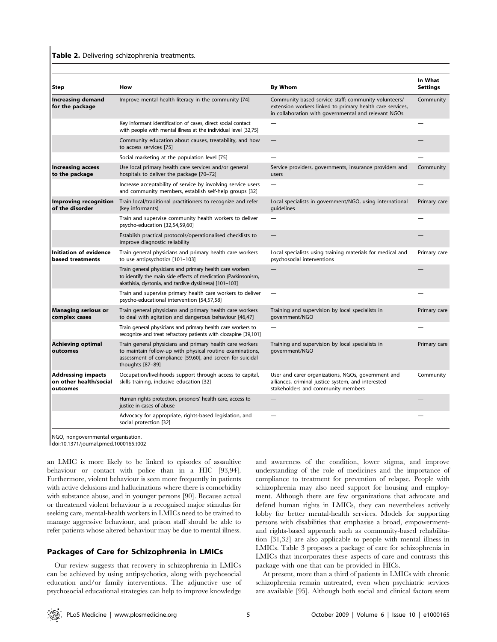#### Table 2. Delivering schizophrenia treatments.

| <b>Step</b>                                                     | How                                                                                                                                                                                                    | By Whom                                                                                                                                                                   | In What<br><b>Settings</b> |
|-----------------------------------------------------------------|--------------------------------------------------------------------------------------------------------------------------------------------------------------------------------------------------------|---------------------------------------------------------------------------------------------------------------------------------------------------------------------------|----------------------------|
| <b>Increasing demand</b><br>for the package                     | Improve mental health literacy in the community [74]                                                                                                                                                   | Community-based service staff; community volunteers/<br>extension workers linked to primary health care services,<br>in collaboration with governmental and relevant NGOs | Community                  |
|                                                                 | Key informant identification of cases, direct social contact<br>with people with mental illness at the individual level [32,75]                                                                        |                                                                                                                                                                           |                            |
|                                                                 | Community education about causes, treatability, and how<br>to access services [75]                                                                                                                     |                                                                                                                                                                           |                            |
|                                                                 | Social marketing at the population level [75]                                                                                                                                                          |                                                                                                                                                                           |                            |
| <b>Increasing access</b><br>to the package                      | Use local primary health care services and/or general<br>hospitals to deliver the package [70-72]                                                                                                      | Service providers, governments, insurance providers and<br>users                                                                                                          | Community                  |
|                                                                 | Increase acceptability of service by involving service users<br>and community members, establish self-help groups [32]                                                                                 |                                                                                                                                                                           |                            |
| <b>Improving recognition</b><br>of the disorder                 | Train local/traditional practitioners to recognize and refer<br>(key informants)                                                                                                                       | Local specialists in government/NGO, using international<br>quidelines                                                                                                    | Primary care               |
|                                                                 | Train and supervise community health workers to deliver<br>psycho-education [32,54,59,60]                                                                                                              |                                                                                                                                                                           |                            |
|                                                                 | Establish practical protocols/operationalised checklists to<br>improve diagnostic reliability                                                                                                          |                                                                                                                                                                           |                            |
| Initiation of evidence<br>based treatments                      | Train general physicians and primary health care workers<br>to use antipsychotics [101-103]                                                                                                            | Local specialists using training materials for medical and<br>psychosocial interventions                                                                                  | Primary care               |
|                                                                 | Train general physicians and primary health care workers<br>to identify the main side effects of medication (Parkinsonism,<br>akathisia, dystonia, and tardive dyskinesa) [101-103]                    |                                                                                                                                                                           |                            |
|                                                                 | Train and supervise primary health care workers to deliver<br>psycho-educational intervention [54,57,58]                                                                                               | $\overline{\phantom{0}}$                                                                                                                                                  |                            |
| <b>Managing serious or</b><br>complex cases                     | Train general physicians and primary health care workers<br>to deal with agitation and dangerous behaviour [46,47]                                                                                     | Training and supervision by local specialists in<br>government/NGO                                                                                                        | Primary care               |
|                                                                 | Train general physicians and primary health care workers to<br>recognize and treat refractory patients with clozapine [39,101]                                                                         |                                                                                                                                                                           |                            |
| <b>Achieving optimal</b><br>outcomes                            | Train general physicians and primary health care workers<br>to maintain follow-up with physical routine examinations,<br>assessment of compliance [59,60], and screen for suicidal<br>thoughts [87-89] | Training and supervision by local specialists in<br>qovernment/NGO                                                                                                        | Primary care               |
| <b>Addressing impacts</b><br>on other health/social<br>outcomes | Occupation/livelihoods support through access to capital,<br>skills training, inclusive education [32]                                                                                                 | User and carer organizations, NGOs, government and<br>alliances, criminal justice system, and interested<br>stakeholders and community members                            | Community                  |
|                                                                 | Human rights protection, prisoners' health care, access to<br>justice in cases of abuse                                                                                                                |                                                                                                                                                                           |                            |
|                                                                 | Advocacy for appropriate, rights-based legislation, and<br>social protection [32]                                                                                                                      |                                                                                                                                                                           |                            |

NGO, nongovernmental organisation.

doi:10.1371/journal.pmed.1000165.t002

an LMIC is more likely to be linked to episodes of assaultive behaviour or contact with police than in a HIC [93,94]. Furthermore, violent behaviour is seen more frequently in patients with active delusions and hallucinations where there is comorbidity with substance abuse, and in younger persons [90]. Because actual or threatened violent behaviour is a recognised major stimulus for seeking care, mental-health workers in LMICs need to be trained to manage aggressive behaviour, and prison staff should be able to refer patients whose altered behaviour may be due to mental illness.

#### Packages of Care for Schizophrenia in LMICs

Our review suggests that recovery in schizophrenia in LMICs can be achieved by using antipsychotics, along with psychosocial education and/or family interventions. The adjunctive use of psychosocial educational strategies can help to improve knowledge

and awareness of the condition, lower stigma, and improve understanding of the role of medicines and the importance of compliance to treatment for prevention of relapse. People with schizophrenia may also need support for housing and employment. Although there are few organizations that advocate and defend human rights in LMICs, they can nevertheless actively lobby for better mental-health services. Models for supporting persons with disabilities that emphasise a broad, empowermentand rights-based approach such as community-based rehabilitation [31,32] are also applicable to people with mental illness in LMICs. Table 3 proposes a package of care for schizophrenia in LMICs that incorporates these aspects of care and contrasts this package with one that can be provided in HICs.

At present, more than a third of patients in LMICs with chronic schizophrenia remain untreated, even when psychiatric services are available [95]. Although both social and clinical factors seem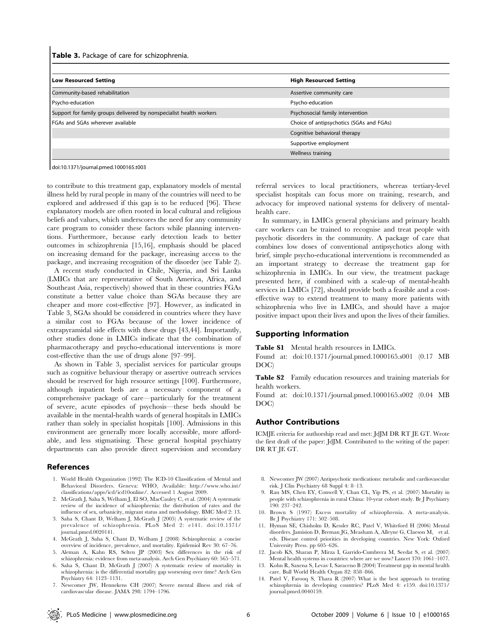Table 3. Package of care for schizophrenia.

| <b>Low Resourced Setting</b>                                        | <b>High Resourced Setting</b>            |
|---------------------------------------------------------------------|------------------------------------------|
| Community-based rehabilitation                                      | Assertive community care                 |
| Psycho-education                                                    | Psycho-education                         |
| Support for family groups delivered by nonspecialist health workers | Psychosocial family intervention         |
| <b>FGAs and SGAs wherever available</b>                             | Choice of antipsychotics (SGAs and FGAs) |
|                                                                     | Cognitive behavioral therapy             |
|                                                                     | Supportive employment                    |
|                                                                     | Wellness training                        |
|                                                                     |                                          |

doi:10.1371/journal.pmed.1000165.t003

to contribute to this treatment gap, explanatory models of mental illness held by rural people in many of the countries will need to be explored and addressed if this gap is to be reduced [96]. These explanatory models are often rooted in local cultural and religious beliefs and values, which underscores the need for any community care program to consider these factors while planning interventions. Furthermore, because early detection leads to better outcomes in schizophrenia [15,16], emphasis should be placed on increasing demand for the package, increasing access to the package, and increasing recognition of the disorder (see Table 2).

A recent study conducted in Chile, Nigeria, and Sri Lanka (LMICs that are representative of South America, Africa, and Southeast Asia, respectively) showed that in these countries FGAs constitute a better value choice than SGAs because they are cheaper and more cost-effective [97]. However, as indicated in Table 3, SGAs should be considered in countries where they have a similar cost to FGAs because of the lower incidence of extrapyramidal side effects with these drugs [43,44]. Importantly, other studies done in LMICs indicate that the combination of pharmacotherapy and psycho-educational interventions is more cost-effective than the use of drugs alone [97–99].

As shown in Table 3, specialist services for particular groups such as cognitive behaviour therapy or assertive outreach services should be reserved for high resource settings [100]. Furthermore, although inpatient beds are a necessary component of a comprehensive package of care—particularly for the treatment of severe, acute episodes of psychosis—these beds should be available in the mental-health wards of general hospitals in LMICs rather than solely in specialist hospitals [100]. Admissions in this environment are generally more locally accessible, more affordable, and less stigmatising. These general hospital psychiatry departments can also provide direct supervision and secondary

#### References

- 1. World Health Organization (1992) The ICD-10 Classification of Mental and Behavioral Disorders. Geneva: WHO, Available: http://www.who.int/ classifications/apps/icd/icd10online/. Accessed 1 August 2009.
- 2. McGrath J, Saha S, Welham J, El SO, MacCauley C, et al. (2004) A systematic review of the incidence of schizophrenia: the distribution of rates and the influence of sex, urbanicity, migrant status and methodology. BMC Med 2: 13.
- 3. Saha S, Chant D, Welham J, McGrath J (2005) A systematic review of the prevalence of schizophrenia. PLoS Med 2: e141. doi:10.1371/ journal.pmed.0020141.
- 4. McGrath J, Saha S, Chant D, Welham J (2008) Schizophrenia: a concise overview of incidence, prevalence, and mortality. Epidemiol Rev 30: 67–76.
- 5. Aleman A, Kahn RS, Selten JP (2003) Sex differences in the risk of schizophrenia: evidence from meta-analysis. Arch Gen Psychiatry 60: 565–571.
- 6. Saha S, Chant D, McGrath J (2007) A systematic review of mortality in schizophrenia: is the differential mortality gap worsening over time? Arch Gen Psychiatry 64: 1123–1131.
- 7. Newcomer JW, Hennekens CH (2007) Severe mental illness and risk of cardiovascular disease. JAMA 298: 1794–1796.

referral services to local practitioners, whereas tertiary-level specialist hospitals can focus more on training, research, and advocacy for improved national systems for delivery of mentalhealth care.

In summary, in LMICs general physicians and primary health care workers can be trained to recognise and treat people with psychotic disorders in the community. A package of care that combines low doses of conventional antipsychotics along with brief, simple psycho-educational interventions is recommended as an important strategy to decrease the treatment gap for schizophrenia in LMICs. In our view, the treatment package presented here, if combined with a scale-up of mental-health services in LMICs [72], should provide both a feasible and a costeffective way to extend treatment to many more patients with schizophrenia who live in LMICs, and should have a major positive impact upon their lives and upon the lives of their families.

# Supporting Information

Table S1 Mental health resources in LMICs.

Found at: doi:10.1371/journal.pmed.1000165.s001 (0.17 MB DOC)

Table S2 Family education resources and training materials for health workers.

Found at: doi:10.1371/journal.pmed.1000165.s002 (0.04 MB DOC)

## Author Contributions

ICMJE criteria for authorship read and met: JdJM DR RT JE GT. Wrote the first draft of the paper: JdJM. Contributed to the writing of the paper: DR RT JE GT.

- 8. Newcomer JW (2007) Antipsychotic medications: metabolic and cardiovascular risk. J Clin Psychiatry 68 Suppl 4: 8–13.
- 9. Ran MS, Chen EY, Conwell Y, Chan CL, Yip PS, et al. (2007) Mortality in people with schizophrenia in rural China: 10-year cohort study. Br J Psychiatry 190: 237–242.
- 10. Brown S (1997) Excess mortality of schizophrenia. A meta-analysis. Br J Psychiatry 171: 502–508.
- 11. Hyman SE, Chisholm D, Kessler RC, Patel V, Whiteford H (2006) Mental disorders. Jamision D, Breman JG, Measham A, Alleyne G, Claeson M, et al. eds. Disease control priorities in developing countries. New York: Oxford University Press. pp 605–626.
- 12. Jacob KS, Sharan P, Mirza I, Garrido-Cumbrera M, Seedat S, et al. (2007) Mental health systems in countries: where are we now? Lancet 370: 1061–1077.
- 13. Kohn R, Saxena S, Levav I, Saraceno B (2004) Treatment gap in mental health care. Bull World Health Organ 82: 858–866.
- 14. Patel V, Farooq S, Thara R (2007) What is the best approach to treating schizophrenia in developing countries? PLoS Med 4: e159. doi:10.1371/ journal.pmed.0040159.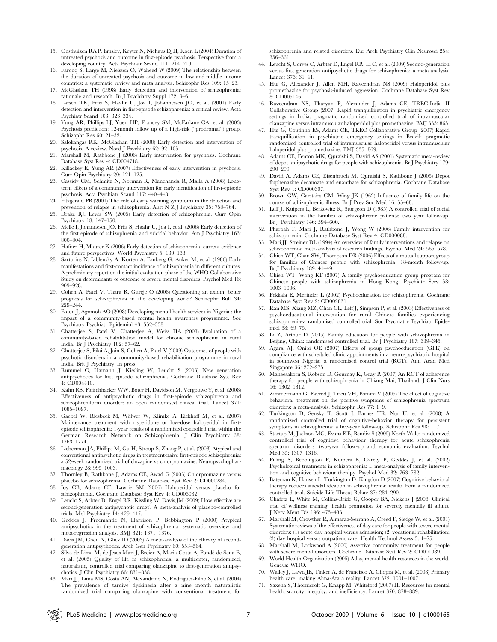- 15. Oosthuizen RA P, Emsley, Keyter N, Niehaus DJH, Koen L (2004) Duration of untreated psychosis and outcome in first-episode psychosis. Perspective from a developing country. Acta Psychiatr Scand 111: 214–219.
- 16. Farooq S, Large M, Nielssen O, Waheed W (2009) The relationship between the duration of untreated psychosis and outcome in low-and-middle income countries: a systematic review and meta analysis. Schizophr Res 109: 15–23.
- 17. McGlashan TH (1998) Early detection and intervention of schizophrenia: rationale and research. Br J Psychiatry Suppl 172: 3–6.
- 18. Larsen TK, Friis S, Haahr U, Joa I, Johannessen JO, et al. (2001) Early detection and intervention in first-episode schizophrenia: a critical review. Acta Psychiatr Scand 103: 323–334.
- 19. Yung AR, Phillips LJ, Yuen HP, Francey SM, McFarlane CA, et al. (2003) Psychosis prediction: 12-month follow up of a high-risk (''prodromal'') group. Schizophr Res 60: 21–32.
- 20. Salokangas RK, McGlashan TH (2008) Early detection and intervention of psychosis. A review. Nord J Psychiatry 62: 92–105.
- 21. Marshall M, Rathbone J (2006) Early intervention for psychosis. Cochrane Database Syst Rev 4: CD004718.
- Killackey E, Yung AR (2007) Effectiveness of early intervention in psychosis. Curr Opin Psychiatry 20: 121–125.
- 23. Cassidy CM, Schmitz N, Norman R, Manchanda R, Malla A (2008) Longterm effects of a community intervention for early identification of first-episode psychosis. Acta Psychiatr Scand 117: 440–448.
- 24. Fitzgerald PB (2001) The role of early warning symptoms in the detection and prevention of relapse in schizophrenia. Aust  $\overrightarrow{N}$  Z J Psychiatry 35: 758–764.
- 25. Drake RJ, Lewis SW (2005) Early detection of schizophrenia. Curr Opin Psychiatry 18: 147–150.
- 26. Melle I, Johannesen JO, Friis S, Haahr U, Joa I, et al. (2006) Early detection of the first episode of schizophrenia and suicidal behavior. Am J Psychiatry 163: 800–804.
- 27. Hafner H, Maurer K (2006) Early detection of schizophrenia: current evidence and future perspectives. World Psychiatry 5: 130–138.
- 28. Sartorius N, Jablensky A, Korten A, Ernberg G, Anker M, et al. (1986) Early manifestations and first-contact incidence of schizophrenia in different cultures. A preliminary report on the initial evaluation phase of the WHO Collaborative Study on determinants of outcome of severe mental disorders. Psychol Med 16: 909–928.
- 29. Cohen A, Patel V, Thara R, Gureje O (2008) Questioning an axiom: better prognosis for schizophrenia in the developing world? Schizophr Bull 34: 229–244.
- 30. Eaton J, Agomoh AO (2008) Developing mental health services in Nigeria : the impact of a community-based mental health awareness programme. Soc Psychiatry Psychiatr Epidemiol 43: 552–558.
- 31. Chatterjee S, Patel V, Chatterjee A, Weiss HA (2003) Evaluation of a community-based rehabilitation model for chronic schizophrenia in rural India. Br J Psychiatry 182: 57–62.
- 32. Chatterjee S, Pilai A, Jain S, Cohen A, Patel V (2009) Outcomes of people with psychotic disorders in a community-based rehabilitation programme in rural India. Brit J Psychiatry. In press.
- 33. Rummel C, Hamann J, Kissling W, Leucht S (2003) New generation antipsychotics for first episode schizophrenia. Cochrane Database Syst Rev 4: CD004410.
- 34. Kahn RS, Fleischhacker WW, Boter H, Davidson M, Vergouwe Y, et al. (2008) Effectiveness of antipsychotic drugs in first-episode schizophrenia and schizophreniform disorder: an open randomised clinical trial. Lancet 371: 1085–1097.
- 35. Gaebel W, Riesbeck M, Wölwer W, Klimke A, Eickhoff M, et al. (2007) Maintenance treatment with risperidone or low-dose haloperidol in firstepisode schizophrenia: 1-year results of a randomized controlled trial within the German Research Network on Schizophrenia. J Clin Psychiatry 68: 1763–1774.
- 36. Lieberman JA, Phillips M, Gu H, Stroup S, Zhang P, et al. (2003) Atypical and conventional antipsychotic drugs in treatment-naive first-episode schizophrenia: a 52-week randomized trial of clozapine vs chlorpromazine. Neuropsychopharmacology 28: 995–1003.
- 37. Thornley B, Rathbone J, Adams CE, Awad G (2003) Chlorpromazine versus placebo for schizophrenia. Cochrane Database Syst Rev 2: CD000284.
- 38. Joy CB, Adams CE, Lawrie SM (2006) Haloperidol versus placebo for schizophrenia. Cochrane Database Syst Rev 4: CD003082.
- 39. Leucht S, Arbter D, Engel RR, Kissling W, Davis JM (2009) How effective are second-generation antipsychotic drugs? A meta-analysis of placebo-controlled trials. Mol Psychiatry 14: 429–447.
- 40. Geddes J, Freemantle N, Harrison P, Bebbington P (2000) Atypical antipsychotics in the treatment of schizophrenia: systematic overview and meta-regression analysis. BMJ 321: 1371–1376.
- 41. Davis JM, Chen N, Glick ID (2003) A meta-analysis of the efficacy of secondgeneration antipsychotics. Arch Gen Psychiatry 60: 553–564.
- 42. Silva de Lima M, de Jesus Mari J, Breier A, Maria Costa A, Ponde´ de Sena E, et al. (2005) Quality of life in schizophrenia: a multicenter, randomized, naturalistic, controlled trial comparing olanzapine to first-generation antipsychotics. J Clin Psychiatry 66: 831–838.
- 43. Mari JJ, Lima MS, Costa AN, Alexandrino N, Rodrigues-Filho S, et al. (2004) The prevalence of tardive dyskinesia after a nine month naturalistic randomized trial comparing olanzapine with conventional treatment for

schizophrenia and related disorders. Eur Arch Psychiatry Clin Neurosci 254: 356–361.

- 44. Leucht S, Corves C, Arbter D, Engel RR, Li C, et al. (2009) Second-generation versus first-generation antipsychotic drugs for schizophrenia: a meta-analysis. Lancet 373: 31–41.
- 45. Huf G, Alexander J, Allen MH, Raveendran NS (2009) Haloperidol plus promethazine for psychosis-induced aggression. Cochrane Database Syst Rev 8: CD005146.
- 46. Raveendran NS, Tharyan P, Alexander J, Adams CE, TREC-India II Collaborative Group (2007) Rapid tranquillisation in psychiatric emergency settings in India: pragmatic randomised controlled trial of intramuscular olanzapine versus intramuscular haloperidol plus promethazine. BMJ 335: 865.
- 47. Huf G, Coutinho ES, Adams CE, TREC Collaborative Group (2007) Rapid tranquillisation in psychiatric emergency settings in Brazil: pragmatic randomised controlled trial of intramuscular haloperidol versus intramuscular haloperidol plus promethazine. BMJ 335: 869.
- 48. Adams CE, Fenton MK, Quraishi S, David AS (2001) Systematic meta-review of depot antipsychotic drugs for people with schizophrenia. Br J Psychiatry 179: 290–299.
- 49. David A, Adams CE, Eisenbruch M, Quraishi S, Rathbone J (2005) Depot fluphenazine decanoate and enanthate for schizophrenia. Cochrane Database Syst Rev 1: CD000307.
- 50. Brown GW, Carstairs GM, Wing JK (1962) Influence of family life on the course of schizophrenic illness. Br J Prev Soc Med 16: 55–68.
- 51. Leff J, Kuipers L, Berkowitz R, Sturgeon D (1985) A controlled trial of social intervention in the families of schizophrenic patients: two year follow-up. Br J Psychiatry 146: 594–600.
- 52. Pharoah F, Mari J, Rathbone J, Wong W (2006) Family intervention for schizophrenia. Cochrane Database Syst Rev 4: CD000088.
- 53. Mari JJ, Streiner DL (1994) An overview of family interventions and relapse on schizophrenia: meta-analysis of research findings. Psychol Med 24: 565–578.
- 54. Chien WT, Chan SW, Thompson DR (2006) Effects of a mutual support group for families of Chinese people with schizophrenia: 18-month follow-up. Br J Psychiatry 189: 41–49.
- 55. Chien WT, Wong KF (2007) A family psychoeducation group program for Chinese people with schizophrenia in Hong Kong. Psychiatr Serv 58: 1003–1006.
- 56. Pekkala E, Merinder L (2002) Psychoeducation for schizophrenia. Cochrane Database Syst Rev 2: CD002831.
- 57. Ran MS, Xiang MZ, Chan CL, Leff J, Simpson P, et al. (2003) Effectiveness of psychoeducational intervention for rural Chinese families experiencing schizophrenia-a randomised controlled trial. Soc Psychiatry Psychiatr Epidemiol 38: 69–75.
- 58. Li Z, Arthur D (2005) Family education for people with schizophrenia in Beijing, China: randomised controlled trial. Br J Psychiatry 187: 339–345.
- 59. Agara AJ, Onibi OE (2007) Effects of group psychoeducation (GPE) on compliance with scheduled clinic appointments in a neuro-psychiatric hospital in southwest Nigeria: a randomised control trial (RCT). Ann Acad Med Singapore 36: 272–275.
- 60. Maneesakorn S, Robson D, Gournay K, Gray R (2007) An RCT of adherence therapy for people with schizophrenia in Chiang Mai, Thailand. J Clin Nurs 16: 1302–1312.
- 61. Zimmermann G, Favrod J, Trieu VH, Pomini V (2005) The effect of cognitive behavioral treatment on the positive symptoms of schizophrenia spectrum disorders: a meta-analysis. Schizophr Res 77: 1–9.
- 62. Turkington D, Sensky T, Scott J, Barnes TR, Nur U, et al. (2008) A randomized controlled trial of cognitive-behavior therapy for persistent symptoms in schizophrenia: a five-year follow-up. Schizophr Res 98: 1–7.
- 63. Startup M, Jackson MC, Evans KE, Bendix S (2005) North Wales randomized controlled trial of cognitive behaviour therapy for acute schizophrenia spectrum disorders: two-year follow-up and economic evaluation. Psychol Med 35: 1307–1316.
- 64. Pilling S, Bebbington P, Kuipers E, Garety P, Geddes J, et al. (2002) Psychological treatments in schizophrenia: I. meta-analysis of family intervention and cognitive behaviour therapy. Psychol Med 32: 763–782.
- 65. Bateman K, Hansen L, Turkington D, Kingdon D (2007) Cognitive behavioral therapy reduces suicidal ideation in schizophrenia: results from a randomized controlled trial. Suicide Life Threat Behav 37: 284–290.
- 66. Chafetz L, White M, Collins-Bride G, Cooper BA, Nickens J (2008) Clinical trial of wellness training: health promotion for severely mentally ill adults. J Nerv Ment Dis 196: 475–483.
- 67. Marshall M, Crowther R, Almaraz-Serrano A, Creed F, Sledge W, et al. (2001) Systematic reviews of the effectiveness of day care for people with severe mental disorders: (1) acute day hospital versus admission; (2) vocational rehabilitation; (3) day hospital versus outpatient care. Health Technol Assess 5: 1–75.
- 68. Marshall M, Lockwood A (2000) Assertive community treatment for people with severe mental disorders. Cochrane Database Syst Rev 2: CD001089.
- 69. World Health Organization (2005) Atlas, mental health resources in the world. Geneva: WHO.
- 70. Walley J, Lawn JE, Tinker A, de Francisco A, Chopra M, et al. (2008) Primary health care: making Alma-Ata a reality. Lancet 372: 1001–1007.
- 71. Saxena S, Thornicroft G, Knapp M, Whiteford (2007) H. Resources for mental health: scarcity, inequity, and inefficiency. Lancet 370: 878–889.